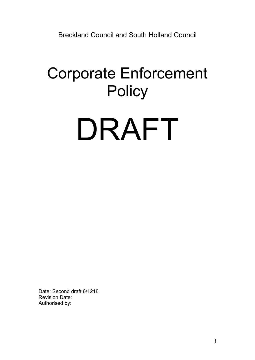Breckland Council and South Holland Council

# Corporate Enforcement **Policy**

# DRAFT

Date: Second draft 6/1218 Revision Date: Authorised by:

1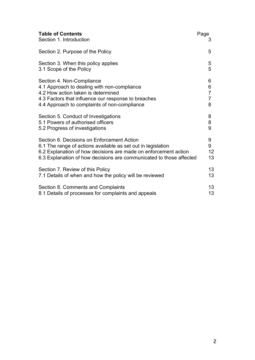| <b>Table of Contents</b>                                            | Page           |
|---------------------------------------------------------------------|----------------|
| Section 1. Introduction                                             | 3              |
| Section 2. Purpose of the Policy                                    | 5              |
| Section 3. When this policy applies                                 | 5              |
| 3.1 Scope of the Policy                                             | 5              |
| Section 4. Non-Compliance                                           | 6              |
| 4.1 Approach to dealing with non-compliance                         | 6              |
| 4.2 How action taken is determined                                  | $\overline{7}$ |
| 4.3 Factors that influence our response to breaches                 | $\overline{7}$ |
| 4.4 Approach to complaints of non-compliance                        | 8              |
| Section 5. Conduct of Investigations                                | 8              |
| 5.1 Powers of authorised officers                                   | 8              |
| 5.2 Progress of investigations                                      | 9              |
| Section 6. Decisions on Enforcement Action                          | 9              |
| 6.1 The range of actions available as set out in legislation        | 9              |
| 6.2 Explanation of how decisions are made on enforcement action     | 12             |
| 6.3 Explanation of how decisions are communicated to those affected | 13             |
| Section 7. Review of this Policy                                    | 13             |
| 7.1 Details of when and how the policy will be reviewed             | 13             |
| Section 8. Comments and Complaints                                  | 13             |
| 8.1 Details of processes for complaints and appeals                 | 13             |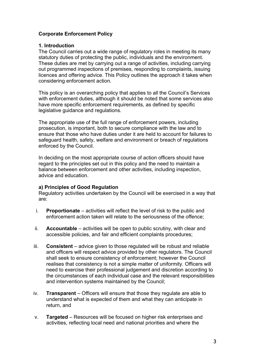# **Corporate Enforcement Policy**

#### **1. Introduction**

The Council carries out a wide range of regulatory roles in meeting its many statutory duties of protecting the public, individuals and the environment. These duties are met by carrying out a range of activities, including carrying out programmed inspections of premises, responding to complaints, issuing licences and offering advice. This Policy outlines the approach it takes when considering enforcement action.

This policy is an overarching policy that applies to all the Council's Services with enforcement duties, although it should be noted that some services also have more specific enforcement requirements, as defined by specific legislative guidance and regulations.

The appropriate use of the full range of enforcement powers, including prosecution, is important, both to secure compliance with the law and to ensure that those who have duties under it are held to account for failures to safeguard health, safety, welfare and environment or breach of regulations enforced by the Council.

In deciding on the most appropriate course of action officers should have regard to the principles set out in this policy and the need to maintain a balance between enforcement and other activities, including inspection, advice and education.

#### **a) Principles of Good Regulation**

Regulatory activities undertaken by the Council will be exercised in a way that are:

- i. **Proportionate** activities will reflect the level of risk to the public and enforcement action taken will relate to the seriousness of the offence;
- ii. **Accountable** activities will be open to public scrutiny, with clear and accessible policies, and fair and efficient complaints procedures;
- iii. **Consistent** advice given to those regulated will be robust and reliable and officers will respect advice provided by other regulators. The Council shall seek to ensure consistency of enforcement; however the Council realises that consistency is not a simple matter of uniformity. Officers will need to exercise their professional judgement and discretion according to the circumstances of each individual case and the relevant responsibilities and intervention systems maintained by the Council;
- iv. **Transparent** Officers will ensure that those they regulate are able to understand what is expected of them and what they can anticipate in return, and
- v. **Targeted** Resources will be focused on higher risk enterprises and activities, reflecting local need and national priorities and where the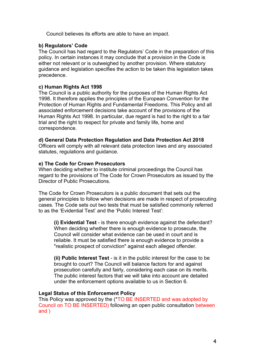Council believes its efforts are able to have an impact.

#### **b) Regulators' Code**

The Council has had regard to the Regulators' Code in the preparation of this policy. In certain instances it may conclude that a provision in the Code is either not relevant or is outweighed by another provision. Where statutory guidance and legislation specifies the action to be taken this legislation takes precedence.

#### **c) Human Rights Act 1998**

The Council is a public authority for the purposes of the Human Rights Act 1998. It therefore applies the principles of the European Convention for the Protection of Human Rights and Fundamental Freedoms. This Policy and all associated enforcement decisions take account of the provisions of the Human Rights Act 1998. In particular, due regard is had to the right to a fair trial and the right to respect for private and family life, home and correspondence.

#### **d) General Data Protection Regulation and Data Protection Act 2018**

Officers will comply with all relevant data protection laws and any associated statutes, regulations and guidance.

#### **e) The Code for Crown Prosecutors**

When deciding whether to institute criminal proceedings the Council has regard to the provisions of The Code for Crown Prosecutors as issued by the Director of Public Prosecutions.

The Code for Crown Prosecutors is a public document that sets out the general principles to follow when decisions are made in respect of prosecuting cases. The Code sets out two tests that must be satisfied commonly referred to as the 'Evidential Test' and the 'Public Interest Test':

**(i) Evidential Test** - is there enough evidence against the defendant? When deciding whether there is enough evidence to prosecute, the Council will consider what evidence can be used in court and is reliable. It must be satisfied there is enough evidence to provide a "realistic prospect of conviction" against each alleged offender.

**(ii) Public Interest Test** - is it in the public interest for the case to be brought to court? The Council will balance factors for and against prosecution carefully and fairly, considering each case on its merits. The public interest factors that we will take into account are detailed under the enforcement options available to us in Section 6.

#### **Legal Status of this Enforcement Policy**

This Policy was approved by the (\*TO BE INSERTED and was adopted by Council on TO BE INSERTED) following an open public consultation between and )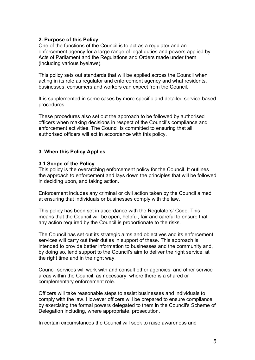# **2. Purpose of this Policy**

One of the functions of the Council is to act as a regulator and an enforcement agency for a large range of legal duties and powers applied by Acts of Parliament and the Regulations and Orders made under them (including various byelaws).

This policy sets out standards that will be applied across the Council when acting in its role as regulator and enforcement agency and what residents, businesses, consumers and workers can expect from the Council.

It is supplemented in some cases by more specific and detailed service-based procedures.

These procedures also set out the approach to be followed by authorised officers when making decisions in respect of the Council's compliance and enforcement activities. The Council is committed to ensuring that all authorised officers will act in accordance with this policy.

# **3. When this Policy Applies**

#### **3.1 Scope of the Policy**

This policy is the overarching enforcement policy for the Council. It outlines the approach to enforcement and lays down the principles that will be followed in deciding upon, and taking action.

Enforcement includes any criminal or civil action taken by the Council aimed at ensuring that individuals or businesses comply with the law.

This policy has been set in accordance with the Regulators' Code. This means that the Council will be open, helpful, fair and careful to ensure that any action required by the Council is proportionate to the risks.

The Council has set out its strategic aims and objectives and its enforcement services will carry out their duties in support of these. This approach is intended to provide better information to businesses and the community and, by doing so, lend support to the Council's aim to deliver the right service, at the right time and in the right way.

Council services will work with and consult other agencies, and other service areas within the Council, as necessary, where there is a shared or complementary enforcement role.

Officers will take reasonable steps to assist businesses and individuals to comply with the law. However officers will be prepared to ensure compliance by exercising the formal powers delegated to them in the Council's Scheme of Delegation including, where appropriate, prosecution.

In certain circumstances the Council will seek to raise awareness and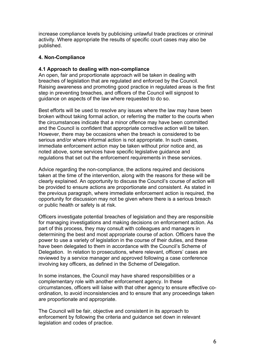increase compliance levels by publicising unlawful trade practices or criminal activity. Where appropriate the results of specific court cases may also be published.

#### **4. Non-Compliance**

#### **4.1 Approach to dealing with non-compliance**

An open, fair and proportionate approach will be taken in dealing with breaches of legislation that are regulated and enforced by the Council. Raising awareness and promoting good practice in regulated areas is the first step in preventing breaches, and officers of the Council will signpost to guidance on aspects of the law where requested to do so.

Best efforts will be used to resolve any issues where the law may have been broken without taking formal action, or referring the matter to the courts when the circumstances indicate that a minor offence may have been committed and the Council is confident that appropriate corrective action will be taken. However, there may be occasions when the breach is considered to be serious and/or where informal action is not appropriate. In such cases, immediate enforcement action may be taken without prior notice and, as noted above, some services have specific legislative guidance and regulations that set out the enforcement requirements in these services.

Advice regarding the non-compliance, the actions required and decisions taken at the time of the intervention, along with the reasons for these will be clearly explained. An opportunity to discuss the Council's course of action will be provided to ensure actions are proportionate and consistent. As stated in the previous paragraph, where immediate enforcement action is required, the opportunity for discussion may not be given where there is a serious breach or public health or safety is at risk.

Officers investigate potential breaches of legislation and they are responsible for managing investigations and making decisions on enforcement action. As part of this process, they may consult with colleagues and managers in determining the best and most appropriate course of action. Officers have the power to use a variety of legislation in the course of their duties, and these have been delegated to them in accordance with the Council's Scheme of Delegation. In relation to prosecutions, where relevant, officers' cases are reviewed by a service manager and approved following a case conference involving key officers, as defined in the Scheme of Delegation.

In some instances, the Council may have shared responsibilities or a complementary role with another enforcement agency. In these circumstances, officers will liaise with that other agency to ensure effective coordination, to avoid inconsistencies and to ensure that any proceedings taken are proportionate and appropriate.

The Council will be fair, objective and consistent in its approach to enforcement by following the criteria and guidance set down in relevant legislation and codes of practice.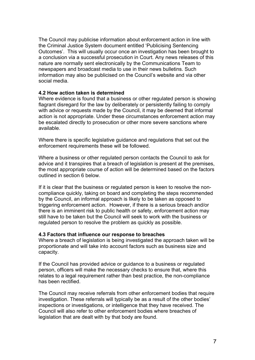The Council may publicise information about enforcement action in line with the Criminal Justice System document entitled 'Publicising Sentencing Outcomes'. This will usually occur once an investigation has been brought to a conclusion via a successful prosecution in Court. Any news releases of this nature are normally sent electronically by the Communications Team to newspapers and broadcast media to use in their news bulletins. Such information may also be publicised on the Council's website and via other social media.

#### **4.2 How action taken is determined**

Where evidence is found that a business or other regulated person is showing flagrant disregard for the law by deliberately or persistently failing to comply with advice or requests made by the Council, it may be deemed that informal action is not appropriate. Under these circumstances enforcement action may be escalated directly to prosecution or other more severe sanctions where available.

Where there is specific legislative guidance and regulations that set out the enforcement requirements these will be followed.

Where a business or other regulated person contacts the Council to ask for advice and it transpires that a breach of legislation is present at the premises, the most appropriate course of action will be determined based on the factors outlined in section 6 below.

If it is clear that the business or regulated person is keen to resolve the noncompliance quickly, taking on board and completing the steps recommended by the Council, an informal approach is likely to be taken as opposed to triggering enforcement action. However, if there is a serious breach and/or there is an imminent risk to public health or safety, enforcement action may still have to be taken but the Council will seek to work with the business or regulated person to resolve the problem as quickly as possible.

#### **4.3 Factors that influence our response to breaches**

Where a breach of legislation is being investigated the approach taken will be proportionate and will take into account factors such as business size and capacity.

If the Council has provided advice or guidance to a business or regulated person, officers will make the necessary checks to ensure that, where this relates to a legal requirement rather than best practice, the non-compliance has been rectified.

The Council may receive referrals from other enforcement bodies that require investigation. These referrals will typically be as a result of the other bodies' inspections or investigations, or intelligence that they have received. The Council will also refer to other enforcement bodies where breaches of legislation that are dealt with by that body are found.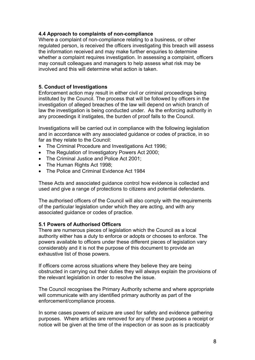# **4.4 Approach to complaints of non-compliance**

Where a complaint of non-compliance relating to a business, or other regulated person, is received the officers investigating this breach will assess the information received and may make further enquiries to determine whether a complaint requires investigation. In assessing a complaint, officers may consult colleagues and managers to help assess what risk may be involved and this will determine what action is taken.

# **5. Conduct of Investigations**

Enforcement action may result in either civil or criminal proceedings being instituted by the Council. The process that will be followed by officers in the investigation of alleged breaches of the law will depend on which branch of law the investigation is being conducted under. As the enforcing authority in any proceedings it instigates, the burden of proof falls to the Council.

Investigations will be carried out in compliance with the following legislation and in accordance with any associated guidance or codes of practice, in so far as they relate to the Council:

- The Criminal Procedure and Investigations Act 1996;
- The Regulation of Investigatory Powers Act 2000:
- The Criminal Justice and Police Act 2001;
- The Human Rights Act 1998;
- The Police and Criminal Evidence Act 1984

These Acts and associated guidance control how evidence is collected and used and give a range of protections to citizens and potential defendants.

The authorised officers of the Council will also comply with the requirements of the particular legislation under which they are acting, and with any associated guidance or codes of practice.

# **5.1 Powers of Authorised Officers**

There are numerous pieces of legislation which the Council as a local authority either has a duty to enforce or adopts or chooses to enforce. The powers available to officers under these different pieces of legislation vary considerably and it is not the purpose of this document to provide an exhaustive list of those powers.

If officers come across situations where they believe they are being obstructed in carrying out their duties they will always explain the provisions of the relevant legislation in order to resolve the issue.

The Council recognises the Primary Authority scheme and where appropriate will communicate with any identified primary authority as part of the enforcement/compliance process.

In some cases powers of seizure are used for safety and evidence gathering purposes. Where articles are removed for any of these purposes a receipt or notice will be given at the time of the inspection or as soon as is practicably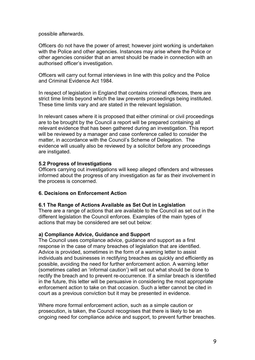possible afterwards.

Officers do not have the power of arrest; however joint working is undertaken with the Police and other agencies. Instances may arise where the Police or other agencies consider that an arrest should be made in connection with an authorised officer's investigation.

Officers will carry out formal interviews in line with this policy and the Police and Criminal Evidence Act 1984.

In respect of legislation in England that contains criminal offences, there are strict time limits beyond which the law prevents proceedings being instituted. These time limits vary and are stated in the relevant legislation.

In relevant cases where it is proposed that either criminal or civil proceedings are to be brought by the Council a report will be prepared containing all relevant evidence that has been gathered during an investigation. This report will be reviewed by a manager and case conference called to consider the matter, in accordance with the Council's Scheme of Delegation. The evidence will usually also be reviewed by a solicitor before any proceedings are instigated.

# **5.2 Progress of Investigations**

Officers carrying out investigations will keep alleged offenders and witnesses informed about the progress of any investigation as far as their involvement in the process is concerned.

#### **6. Decisions on Enforcement Action**

#### **6.1 The Range of Actions Available as Set Out in Legislation**

There are a range of actions that are available to the Council as set out in the different legislation the Council enforces. Examples of the main types of actions that may be considered are set out below:

#### **a) Compliance Advice, Guidance and Support**

The Council uses compliance advice, guidance and support as a first response in the case of many breaches of legislation that are identified. Advice is provided, sometimes in the form of a warning letter to assist individuals and businesses in rectifying breaches as quickly and efficiently as possible, avoiding the need for further enforcement action. A warning letter (sometimes called an 'informal caution') will set out what should be done to rectify the breach and to prevent re-occurrence. If a similar breach is identified in the future, this letter will be persuasive in considering the most appropriate enforcement action to take on that occasion. Such a letter cannot be cited in court as a previous conviction but it may be presented in evidence.

Where more formal enforcement action, such as a simple caution or prosecution, is taken, the Council recognises that there is likely to be an ongoing need for compliance advice and support, to prevent further breaches.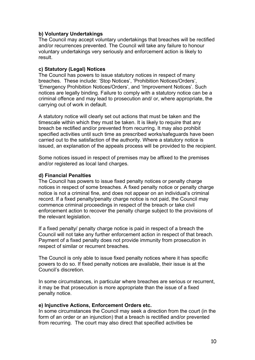# **b) Voluntary Undertakings**

The Council may accept voluntary undertakings that breaches will be rectified and/or recurrences prevented. The Council will take any failure to honour voluntary undertakings very seriously and enforcement action is likely to result.

#### **c) Statutory (Legal) Notices**

The Council has powers to issue statutory notices in respect of many breaches. These include: 'Stop Notices', 'Prohibition Notices/Orders', 'Emergency Prohibition Notices/Orders', and 'Improvement Notices'. Such notices are legally binding. Failure to comply with a statutory notice can be a criminal offence and may lead to prosecution and/ or, where appropriate, the carrying out of work in default.

A statutory notice will clearly set out actions that must be taken and the timescale within which they must be taken. It is likely to require that any breach be rectified and/or prevented from recurring. It may also prohibit specified activities until such time as prescribed works/safeguards have been carried out to the satisfaction of the authority. Where a statutory notice is issued, an explanation of the appeals process will be provided to the recipient.

Some notices issued in respect of premises may be affixed to the premises and/or registered as local land charges.

#### **d) Financial Penalties**

The Council has powers to issue fixed penalty notices or penalty charge notices in respect of some breaches. A fixed penalty notice or penalty charge notice is not a criminal fine, and does not appear on an individual's criminal record. If a fixed penalty/penalty charge notice is not paid, the Council may commence criminal proceedings in respect of the breach or take civil enforcement action to recover the penalty charge subject to the provisions of the relevant legislation.

If a fixed penalty/ penalty charge notice is paid in respect of a breach the Council will not take any further enforcement action in respect of that breach. Payment of a fixed penalty does not provide immunity from prosecution in respect of similar or recurrent breaches.

The Council is only able to issue fixed penalty notices where it has specific powers to do so. If fixed penalty notices are available, their issue is at the Council's discretion.

In some circumstances, in particular where breaches are serious or recurrent, it may be that prosecution is more appropriate than the issue of a fixed penalty notice.

#### **e) Injunctive Actions, Enforcement Orders etc.**

In some circumstances the Council may seek a direction from the court (in the form of an order or an injunction) that a breach is rectified and/or prevented from recurring. The court may also direct that specified activities be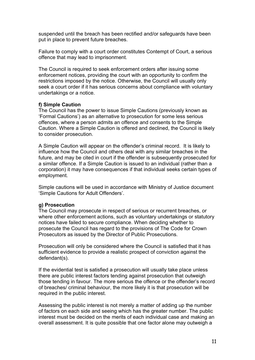suspended until the breach has been rectified and/or safeguards have been put in place to prevent future breaches.

Failure to comply with a court order constitutes Contempt of Court, a serious offence that may lead to imprisonment.

The Council is required to seek enforcement orders after issuing some enforcement notices, providing the court with an opportunity to confirm the restrictions imposed by the notice. Otherwise, the Council will usually only seek a court order if it has serious concerns about compliance with voluntary undertakings or a notice.

#### **f) Simple Caution**

The Council has the power to issue Simple Cautions (previously known as 'Formal Cautions') as an alternative to prosecution for some less serious offences, where a person admits an offence and consents to the Simple Caution. Where a Simple Caution is offered and declined, the Council is likely to consider prosecution.

A Simple Caution will appear on the offender's criminal record. It is likely to influence how the Council and others deal with any similar breaches in the future, and may be cited in court if the offender is subsequently prosecuted for a similar offence. If a Simple Caution is issued to an individual (rather than a corporation) it may have consequences if that individual seeks certain types of employment.

Simple cautions will be used in accordance with Ministry of Justice document 'Simple Cautions for Adult Offenders'.

#### **g) Prosecution**

The Council may prosecute in respect of serious or recurrent breaches, or where other enforcement actions, such as voluntary undertakings or statutory notices have failed to secure compliance. When deciding whether to prosecute the Council has regard to the provisions of The Code for Crown Prosecutors as issued by the Director of Public Prosecutions.

Prosecution will only be considered where the Council is satisfied that it has sufficient evidence to provide a realistic prospect of conviction against the defendant(s).

If the evidential test is satisfied a prosecution will usually take place unless there are public interest factors tending against prosecution that outweigh those tending in favour. The more serious the offence or the offender's record of breaches/ criminal behaviour, the more likely it is that prosecution will be required in the public interest.

Assessing the public interest is not merely a matter of adding up the number of factors on each side and seeing which has the greater number. The public interest must be decided on the merits of each individual case and making an overall assessment. It is quite possible that one factor alone may outweigh a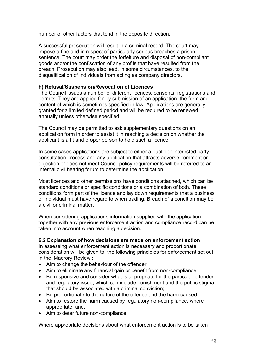number of other factors that tend in the opposite direction.

A successful prosecution will result in a criminal record. The court may impose a fine and in respect of particularly serious breaches a prison sentence. The court may order the forfeiture and disposal of non-compliant goods and/or the confiscation of any profits that have resulted from the breach. Prosecution may also lead, in some circumstances, to the disqualification of individuals from acting as company directors.

# **h) Refusal/Suspension/Revocation of Licences**

The Council issues a number of different licences, consents, registrations and permits. They are applied for by submission of an application, the form and content of which is sometimes specified in law. Applications are generally granted for a limited defined period and will be required to be renewed annually unless otherwise specified.

The Council may be permitted to ask supplementary questions on an application form in order to assist it in reaching a decision on whether the applicant is a fit and proper person to hold such a licence.

In some cases applications are subject to either a public or interested party consultation process and any application that attracts adverse comment or objection or does not meet Council policy requirements will be referred to an internal civil hearing forum to determine the application.

Most licences and other permissions have conditions attached, which can be standard conditions or specific conditions or a combination of both. These conditions form part of the licence and lay down requirements that a business or individual must have regard to when trading. Breach of a condition may be a civil or criminal matter.

When considering applications information supplied with the application together with any previous enforcement action and compliance record can be taken into account when reaching a decision.

#### **6.2 Explanation of how decisions are made on enforcement action**

In assessing what enforcement action is necessary and proportionate consideration will be given to, the following principles for enforcement set out in the 'Macrory Review':

- Aim to change the behaviour of the offender;
- Aim to eliminate any financial gain or benefit from non-compliance;
- Be responsive and consider what is appropriate for the particular offender and regulatory issue, which can include punishment and the public stigma that should be associated with a criminal conviction;
- Be proportionate to the nature of the offence and the harm caused;
- Aim to restore the harm caused by regulatory non-compliance, where appropriate; and,
- Aim to deter future non-compliance.

Where appropriate decisions about what enforcement action is to be taken